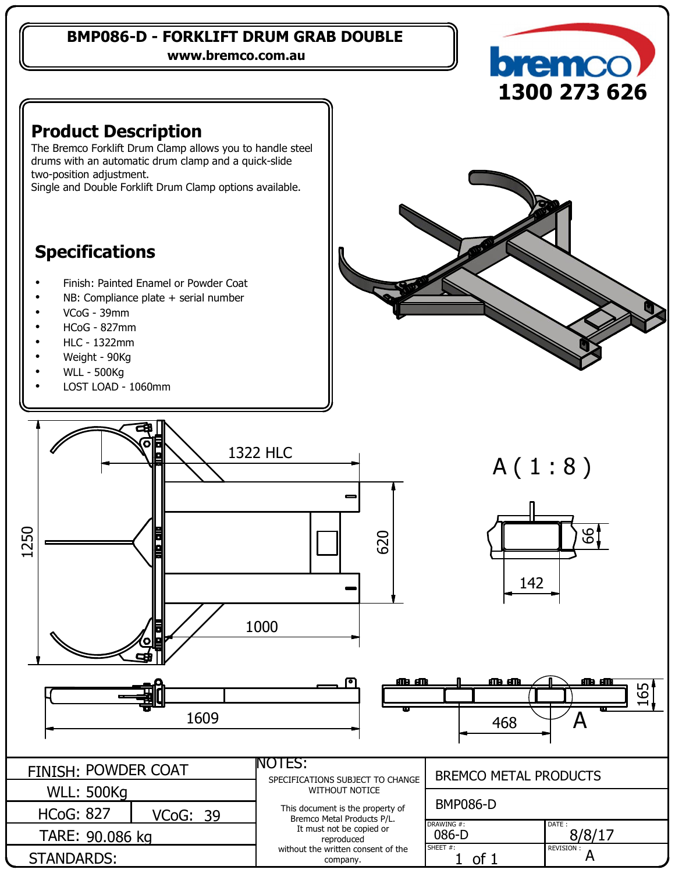#### **BMP086-D - FORKLIFT DRUM GRAB DOUBLE**

**www.bremco.com.au**



<u>မ</u>

<u>m m</u>

165

### **Product Description**

The Bremco Forklift Drum Clamp allows you to handle steel drums with an automatic drum clamp and <sup>a</sup> quick-slide two-position adjustment.

Single and Double Forklift Drum Clamp options available.

## **Specifications**

- . Finish: Painted Enamel or Powder Coat
- . NB: Compliance plate <sup>+</sup> serial number
- . VCoG - 39mm
- . HCoG - 827mm
- . HLC - 1322mm
- . Weight - 90Kg
- . WLL - 500Kg
- . LOST LOAD - 1060mm





| <b>FINISH: POWDER COAT</b> |          | <b>NOTES:</b><br>SPECIFICATIONS SUBJECT TO CHANGE<br>WITHOUT NOTICE                      | <b>BREMCO METAL PRODUCTS</b> |                  |
|----------------------------|----------|------------------------------------------------------------------------------------------|------------------------------|------------------|
| <b>WLL: 500Kg</b>          |          |                                                                                          |                              |                  |
| <b>HCoG: 827</b>           | VCoG: 39 | This document is the property of<br>Bremco Metal Products P/L.                           | <b>BMP086-D</b>              |                  |
| TARE: 90.086 kg            |          | It must not be copied or<br>reproduced<br>without the written consent of the<br>company. | DRAWING #:<br>086-D          | DATE:<br>8/8/17  |
| STANDARDS:                 |          |                                                                                          | SHEET #:<br><b>of</b>        | <b>REVISION:</b> |